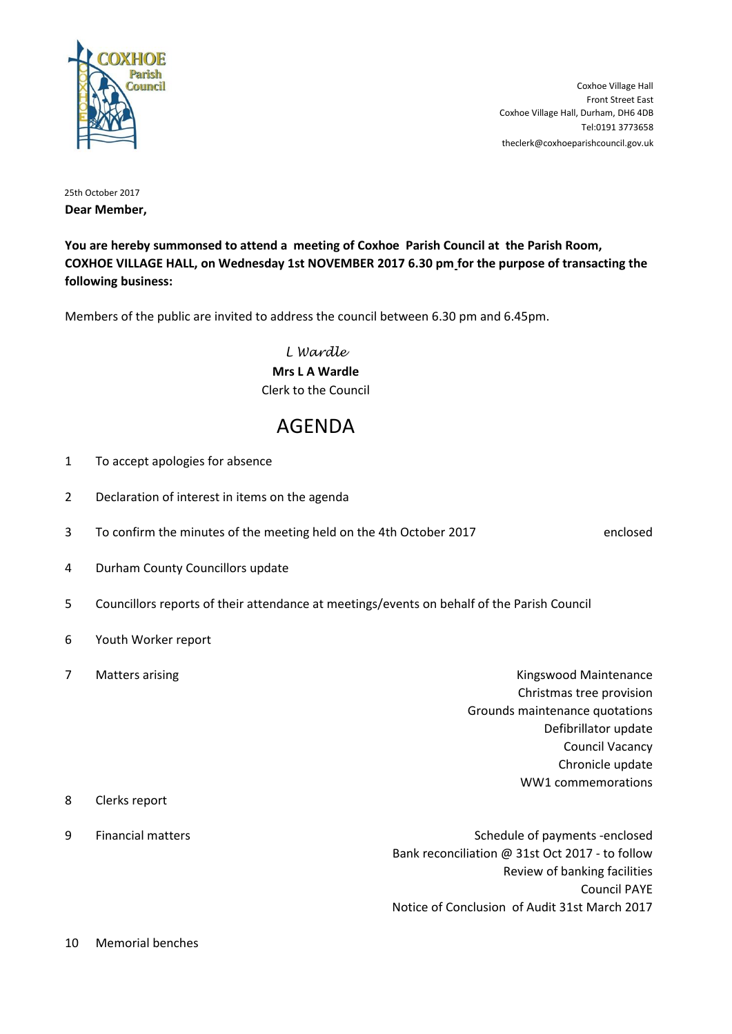

Tel:0191 3773658 Coxhoe Village Hall, Durham, DH6 4DB Front Street East Coxhoe Village Hall theclerk@coxhoeparishcouncil.gov.uk

25th October 2017 **Dear Member,**

**You are hereby summonsed to attend a meeting of Coxhoe Parish Council at the Parish Room, COXHOE VILLAGE HALL, on Wednesday 1st NOVEMBER 2017 6.30 pm for the purpose of transacting the following business:**

Members of the public are invited to address the council between 6.30 pm and 6.45pm.

*L Wardle* **Mrs L A Wardle** Clerk to the Council

## AGENDA

- 1 To accept apologies for absence
- 2 Declaration of interest in items on the agenda
- 3 To confirm the minutes of the meeting held on the 4th October 2017 enclosed

- 4 Durham County Councillors update
- 5 Councillors reports of their attendance at meetings/events on behalf of the Parish Council
- 6 Youth Worker report
- 7 Matters arising Kingswood Maintenance Christmas tree provision Grounds maintenance quotations Defibrillator update Council Vacancy Chronicle update WW1 commemorations 8 Clerks report 9 Financial matters Schedule of payments -enclosed

Bank reconciliation @ 31st Oct 2017 - to follow Review of banking facilities Council PAYE Notice of Conclusion of Audit 31st March 2017

10 Memorial benches